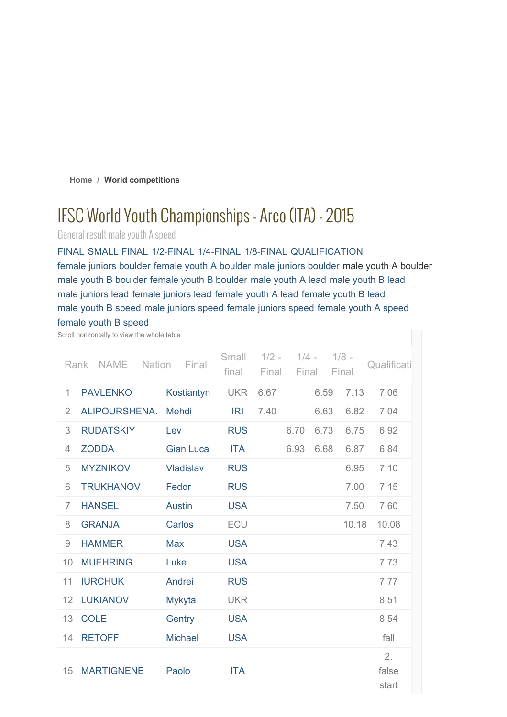**Home / World competitions**

# IFSC World Youth Championships- Arco (ITA) - 2015

General result male youth A speed

FINAL SMALL FINAL 1/2-FINAL 1/4-FINAL 1/8-FINAL QUALIFICATION female juniors boulder female youth A boulder male juniors boulder male youth A boulder male youth B boulder female youth B boulder male youth A lead male youth B lead male juniors lead female juniors lead female youth A lead female youth B lead male youth B speed male juniors speed female juniors speed female youth A speed female youth B speed

Scroll horizontally to view the whole table

|                | <b>NAME</b><br>Rank | <b>Nation</b><br>Final | Small<br>final | $1/2 -$<br>Final | $1/4 -$<br>Final |      | $1/8 -$<br>Final | Qualificati          |
|----------------|---------------------|------------------------|----------------|------------------|------------------|------|------------------|----------------------|
| $\mathbf{1}$   | <b>PAVLENKO</b>     | Kostiantyn             | <b>UKR</b>     | 6.67             |                  | 6.59 | 7.13             | 7.06                 |
| $\overline{2}$ | ALIPOURSHENA.       | Mehdi                  | IRI            | 7.40             |                  | 6.63 | 6.82             | 7.04                 |
| 3              | <b>RUDATSKIY</b>    | Lev                    | <b>RUS</b>     |                  | 6.70             | 6.73 | 6.75             | 6.92                 |
| $\overline{4}$ | <b>ZODDA</b>        | <b>Gian Luca</b>       | <b>ITA</b>     |                  | 6.93             | 6.68 | 6.87             | 6.84                 |
| 5              | <b>MYZNIKOV</b>     | <b>Vladislav</b>       | <b>RUS</b>     |                  |                  |      | 6.95             | 7.10                 |
| 6              | <b>TRUKHANOV</b>    | Fedor                  | <b>RUS</b>     |                  |                  |      | 7.00             | 7.15                 |
| $\overline{7}$ | <b>HANSEL</b>       | <b>Austin</b>          | <b>USA</b>     |                  |                  |      | 7.50             | 7.60                 |
| 8              | <b>GRANJA</b>       | Carlos                 | ECU            |                  |                  |      | 10.18            | 10.08                |
| 9              | <b>HAMMER</b>       | <b>Max</b>             | <b>USA</b>     |                  |                  |      |                  | 7.43                 |
| 10             | <b>MUEHRING</b>     | Luke                   | <b>USA</b>     |                  |                  |      |                  | 7.73                 |
| 11             | <b>IURCHUK</b>      | Andrei                 | <b>RUS</b>     |                  |                  |      |                  | 7.77                 |
| 12             | <b>LUKIANOV</b>     | <b>Mykyta</b>          | <b>UKR</b>     |                  |                  |      |                  | 8.51                 |
| 13             | <b>COLE</b>         | Gentry                 | <b>USA</b>     |                  |                  |      |                  | 8.54                 |
| 14             | <b>RETOFF</b>       | <b>Michael</b>         | <b>USA</b>     |                  |                  |      |                  | fall                 |
| 15             | <b>MARTIGNENE</b>   | Paolo                  | <b>ITA</b>     |                  |                  |      |                  | 2.<br>false<br>start |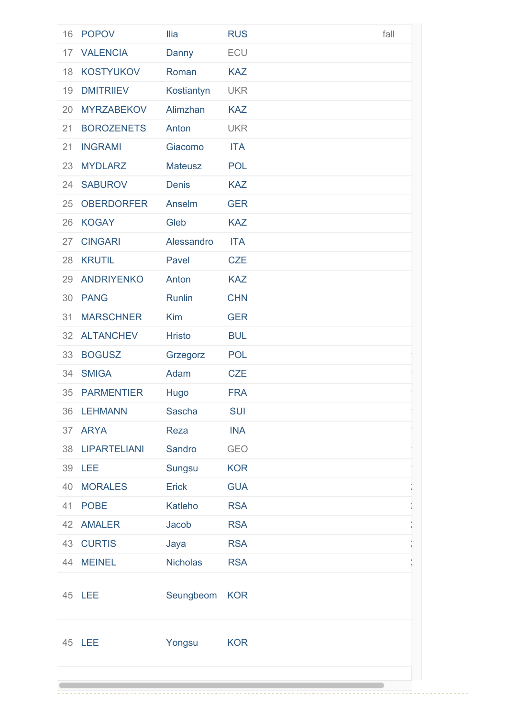| 16 | <b>POPOV</b>        | <b>Ilia</b>     | <b>RUS</b> | fall |
|----|---------------------|-----------------|------------|------|
| 17 | <b>VALENCIA</b>     | Danny           | ECU        |      |
| 18 | <b>KOSTYUKOV</b>    | Roman           | <b>KAZ</b> |      |
| 19 | <b>DMITRIIEV</b>    | Kostiantyn      | <b>UKR</b> |      |
| 20 | <b>MYRZABEKOV</b>   | Alimzhan        | <b>KAZ</b> |      |
| 21 | <b>BOROZENETS</b>   | Anton           | <b>UKR</b> |      |
| 21 | <b>INGRAMI</b>      | Giacomo         | <b>ITA</b> |      |
| 23 | <b>MYDLARZ</b>      | <b>Mateusz</b>  | <b>POL</b> |      |
| 24 | <b>SABUROV</b>      | <b>Denis</b>    | <b>KAZ</b> |      |
| 25 | <b>OBERDORFER</b>   | Anselm          | <b>GER</b> |      |
| 26 | <b>KOGAY</b>        | Gleb            | <b>KAZ</b> |      |
| 27 | <b>CINGARI</b>      | Alessandro      | <b>ITA</b> |      |
| 28 | <b>KRUTIL</b>       | Pavel           | <b>CZE</b> |      |
| 29 | <b>ANDRIYENKO</b>   | Anton           | <b>KAZ</b> |      |
| 30 | <b>PANG</b>         | Runlin          | <b>CHN</b> |      |
| 31 | <b>MARSCHNER</b>    | <b>Kim</b>      | <b>GER</b> |      |
| 32 | <b>ALTANCHEV</b>    | <b>Hristo</b>   | <b>BUL</b> |      |
| 33 | <b>BOGUSZ</b>       | Grzegorz        | <b>POL</b> |      |
| 34 | <b>SMIGA</b>        | Adam            | <b>CZE</b> |      |
| 35 | <b>PARMENTIER</b>   | Hugo            | <b>FRA</b> |      |
| 36 | <b>LEHMANN</b>      | <b>Sascha</b>   | <b>SUI</b> |      |
| 37 | <b>ARYA</b>         | Reza            | <b>INA</b> |      |
| 38 | <b>LIPARTELIANI</b> | Sandro          | <b>GEO</b> |      |
| 39 | LEE                 | <b>Sungsu</b>   | <b>KOR</b> |      |
| 40 | <b>MORALES</b>      | <b>Erick</b>    | <b>GUA</b> |      |
| 41 | <b>POBE</b>         | Katleho         | <b>RSA</b> |      |
|    | 42 AMALER           | Jacob           | <b>RSA</b> |      |
| 43 | <b>CURTIS</b>       | Jaya            | <b>RSA</b> |      |
| 44 | <b>MEINEL</b>       | <b>Nicholas</b> | <b>RSA</b> |      |
|    | 45 LEE              | Seungbeom       | <b>KOR</b> |      |
|    | 45 LEE              | Yongsu          | <b>KOR</b> |      |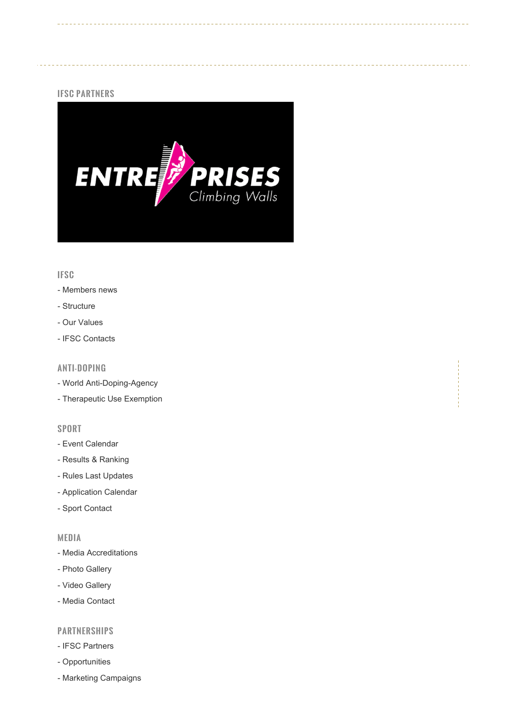## IFSC PARTNERS



# IFSC

- Members news
- Structure
- Our Values
- IFSC Contacts

# ANTI-DOPING

- World Anti-Doping-Agency
- Therapeutic Use Exemption

### SPORT

- Event Calendar
- Results & Ranking
- Rules Last Updates
- Application Calendar
- Sport Contact

### MEDIA

- Media Accreditations
- Photo Gallery
- Video Gallery
- Media Contact

## PARTNERSHIPS

- IFSC Partners
- Opportunities
- Marketing Campaigns